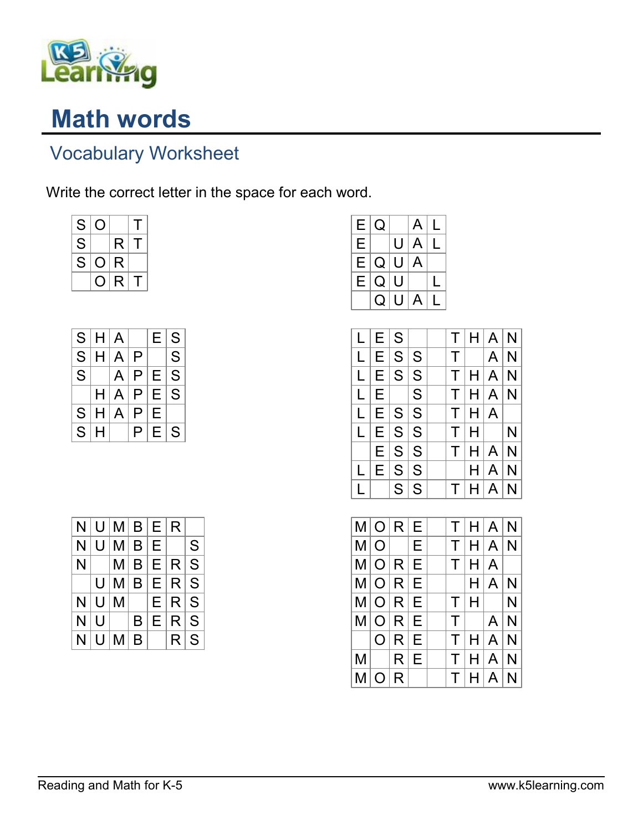

## Math words

## Vocabulary Worksheet

Write the correct letter in the space for each word.

| S | Ő |   | $\mathsf{T}$ |
|---|---|---|--------------|
| S |   | R | T            |
| S | O | R |              |
|   | ၪ | R | T.           |

|             | S H A |                |     | E.  | S                  |
|-------------|-------|----------------|-----|-----|--------------------|
| S           | H     | $\overline{A}$ | P   |     | S                  |
| S           |       | A              | P   | ΙE. | $\mathsf{S}% _{T}$ |
|             | H.    | ΙA.            | ∣ P | E   | S                  |
| S.          | H     | $\mathsf{A}$   | P   | Ε   |                    |
| $S_{\cdot}$ | H     |                | P   | E.  | S                  |

| E. | Q         |           | A              |  |
|----|-----------|-----------|----------------|--|
| Е  |           | U         | $\overline{A}$ |  |
| Е  | $Q \vert$ | $\cup$    | A              |  |
| E. | Q         | U         |                |  |
|    | Q         | $\bigcup$ | $\overline{A}$ |  |

|    | L  E S |          |  |       | T H A N    |   |
|----|--------|----------|--|-------|------------|---|
| L. |        | E S S    |  |       | $T$ $ A N$ |   |
| L  |        | E S S    |  |       | T H A N    |   |
| L  |        | $E$ $ S$ |  |       | T H A N    |   |
| L. |        | E S S    |  | T H A |            |   |
| L  |        | E S S    |  | T H   |            | N |
|    |        | E S S    |  | T H A |            | N |
| L  |        | E S S    |  |       | $H \, A$   | N |
|    |        | S S      |  | T H A |            | N |

|   | $M$ $O$ $R$ $E$ |  |  | T H A N    |  |
|---|-----------------|--|--|------------|--|
|   | $M O $ $E$      |  |  | T H A N    |  |
|   | M O R E         |  |  | T H A      |  |
|   | M[O R E]        |  |  | H   A   N  |  |
|   | $M$ $O$ $R$ $E$ |  |  | $T H $   N |  |
|   | $M$ $O$ $R$ $E$ |  |  | $T$ $ A N$ |  |
|   | O R E           |  |  | T H A N    |  |
|   | M RE            |  |  | T H A N    |  |
| М | O R             |  |  | T H A N    |  |

|    |               | NUMBER      |          |           |     |   |
|----|---------------|-------------|----------|-----------|-----|---|
| N. |               | UMBE        |          |           |     | S |
| N. |               |             |          | M B E R S |     |   |
|    |               | U M B E R S |          |           |     |   |
|    | $N$ $ U $ $M$ |             |          | E[R S]    |     |   |
| N. | ΙU            |             |          | B E R S   |     |   |
| N  |               | $U$ M       | $B \mid$ |           | R S |   |